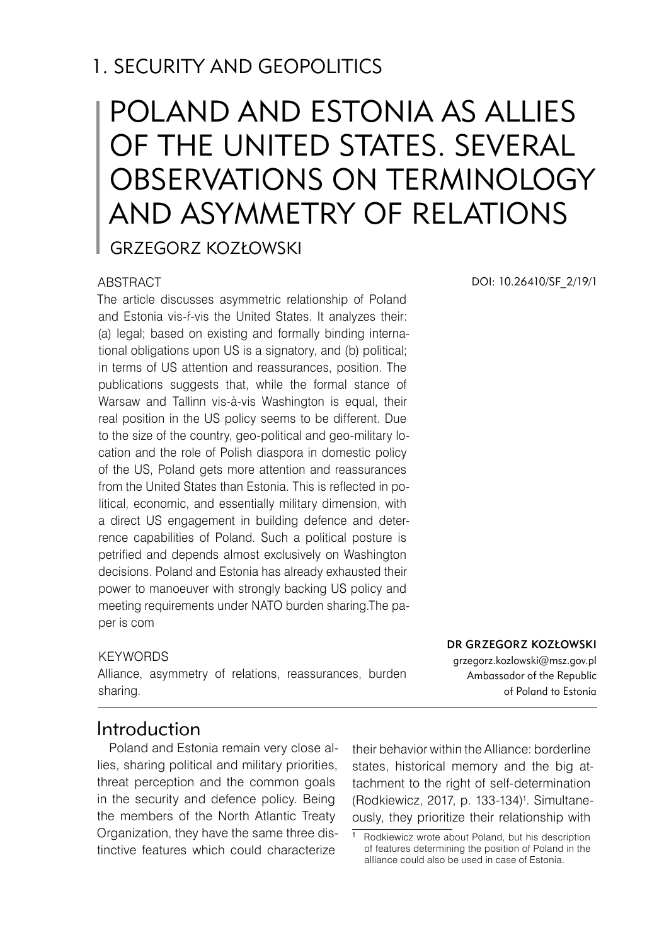# 1. SECURITY AND GEOPOLITICS

# POLAND AND ESTONIA AS ALLIES OF THE UNITED STATES. SEVERAL OBSERVATIONS ON TERMINOLOGY AND ASYMMETRY OF RELATIONS

Grzegorz Kozłowski

#### ABSTRACT

The article discusses asymmetric relationship of Poland and Estonia vis-ŕ-vis the United States. It analyzes their: (a) legal; based on existing and formally binding international obligations upon US is a signatory, and (b) political; in terms of US attention and reassurances, position. The publications suggests that, while the formal stance of Warsaw and Tallinn vis-à-vis Washington is equal, their real position in the US policy seems to be different. Due to the size of the country, geo-political and geo-military location and the role of Polish diaspora in domestic policy of the US, Poland gets more attention and reassurances from the United States than Estonia. This is reflected in political, economic, and essentially military dimension, with a direct US engagement in building defence and deterrence capabilities of Poland. Such a political posture is petrified and depends almost exclusively on Washington decisions. Poland and Estonia has already exhausted their power to manoeuver with strongly backing US policy and meeting requirements under NATO burden sharing.The paper is com

#### **KEYWORDS**

Alliance, asymmetry of relations, reassurances, burden sharing.

DOI: 10.26410/SF\_2/19/1

Dr Grzegorz Kozłowski

grzegorz.kozlowski@msz.gov.pl Ambassador of the Republic of Poland to Estonia

# Introduction

Poland and Estonia remain very close allies, sharing political and military priorities, threat perception and the common goals in the security and defence policy. Being the members of the North Atlantic Treaty Organization, they have the same three distinctive features which could characterize

their behavior within the Alliance: borderline states, historical memory and the big attachment to the right of self-determination (Rodkiewicz, 2017, p. 133-134) . Simultaneously, they prioritize their relationship with

Rodkiewicz wrote about Poland, but his description of features determining the position of Poland in the alliance could also be used in case of Estonia.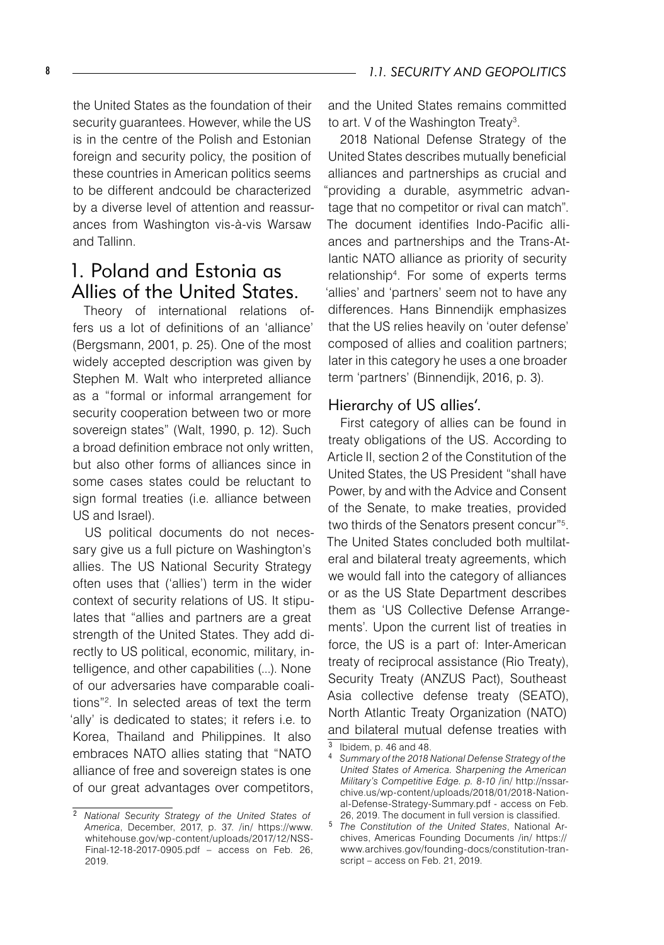the United States as the foundation of their security guarantees. However, while the US is in the centre of the Polish and Estonian foreign and security policy, the position of these countries in American politics seems to be different andcould be characterized by a diverse level of attention and reassurances from Washington vis-à-vis Warsaw and Tallinn.

# 1. Poland and Estonia as Allies of the United States.

Theory of international relations offers us a lot of definitions of an 'alliance' (Bergsmann, 2001, p. 25). One of the most widely accepted description was given by Stephen M. Walt who interpreted alliance as a "formal or informal arrangement for security cooperation between two or more sovereign states" (Walt, 1990, p. 12). Such a broad definition embrace not only written, but also other forms of alliances since in some cases states could be reluctant to sign formal treaties (i.e. alliance between US and Israel).

US political documents do not necessary give us a full picture on Washington's allies. The US National Security Strategy often uses that ('allies') term in the wider context of security relations of US. It stipulates that "allies and partners are a great strength of the United States. They add directly to US political, economic, military, intelligence, and other capabilities (...). None of our adversaries have comparable coalitions"<sup>2</sup>. In selected areas of text the term 'ally' is dedicated to states; it refers i.e. to Korea, Thailand and Philippines. It also embraces NATO allies stating that "NATO alliance of free and sovereign states is one of our great advantages over competitors,

and the United States remains committed to art. V of the Washington Treaty<sup>3</sup>.

2018 National Defense Strategy of the United States describes mutually beneficial alliances and partnerships as crucial and "providing a durable, asymmetric advantage that no competitor or rival can match". The document identifies Indo-Pacific alliances and partnerships and the Trans-Atlantic NATO alliance as priority of security relationship<sup>4</sup>. For some of experts terms 'allies' and 'partners' seem not to have any differences. Hans Binnendijk emphasizes that the US relies heavily on 'outer defense' composed of allies and coalition partners; later in this category he uses a one broader term 'partners' (Binnendijk, 2016, p. 3).

#### Hierarchy of US allies'.

First category of allies can be found in treaty obligations of the US. According to Article II, section 2 of the Constitution of the United States, the US President "shall have Power, by and with the Advice and Consent of the Senate, to make treaties, provided two thirds of the Senators present concur"<sup>5</sup>. The United States concluded both multilateral and bilateral treaty agreements, which we would fall into the category of alliances or as the US State Department describes them as 'US Collective Defense Arrangements'. Upon the current list of treaties in force, the US is a part of: Inter-American treaty of reciprocal assistance (Rio Treaty), Security Treaty (ANZUS Pact), Southeast Asia collective defense treaty (SEATO), North Atlantic Treaty Organization (NATO) and bilateral mutual defense treaties with

*National Security Strategy of the United States of America*, December, 2017, p. 37. /in/ https://www. whitehouse.gov/wp-content/uploads/2017/12/NSS-Final-12-18-2017-0905.pdf – access on Feb. 26, 2019.

 $\frac{3}{4}$  lbidem, p. 46 and 48.

*Summary of the 2018 National Defense Strategy of the United States of America. Sharpening the American Military's Competitive Edge. p. 8-10 /*in/ http://nssarchive.us/wp-content/uploads/2018/01/2018-National-Defense-Strategy-Summary.pdf - access on Feb. 26, 2019. The document in full version is classified.

*The Constitution of the United States*, National Archives, Americas Founding Documents /in/ https:// www.archives.gov/founding-docs/constitution-transcript – access on Feb. 21, 2019.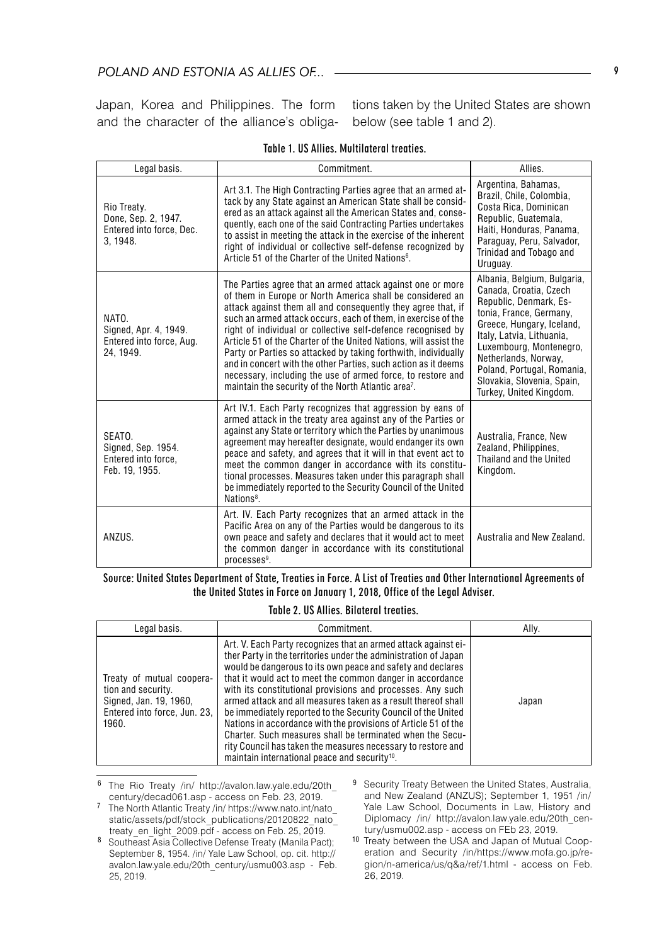### *POLAND AND ESTONIA AS ALLIES OF...*

Japan, Korea and Philippines. The form and the character of the alliance's obliga-

tions taken by the United States are shown below (see table 1 and 2).

| Legal basis.                                                               | Commitment.                                                                                                                                                                                                                                                                                                                                                                                                                                                                                                                                                                                                                                                        | Allies.                                                                                                                                                                                                                                                                                                        |
|----------------------------------------------------------------------------|--------------------------------------------------------------------------------------------------------------------------------------------------------------------------------------------------------------------------------------------------------------------------------------------------------------------------------------------------------------------------------------------------------------------------------------------------------------------------------------------------------------------------------------------------------------------------------------------------------------------------------------------------------------------|----------------------------------------------------------------------------------------------------------------------------------------------------------------------------------------------------------------------------------------------------------------------------------------------------------------|
| Rio Treaty.<br>Done, Sep. 2, 1947.<br>Entered into force, Dec.<br>3, 1948. | Art 3.1. The High Contracting Parties agree that an armed at-<br>tack by any State against an American State shall be consid-<br>ered as an attack against all the American States and, conse-<br>quently, each one of the said Contracting Parties undertakes<br>to assist in meeting the attack in the exercise of the inherent<br>right of individual or collective self-defense recognized by<br>Article 51 of the Charter of the United Nations <sup>6</sup> .                                                                                                                                                                                                | Argentina, Bahamas,<br>Brazil, Chile, Colombia,<br>Costa Rica, Dominican<br>Republic, Guatemala,<br>Haiti, Honduras, Panama,<br>Paraguay, Peru, Salvador,<br>Trinidad and Tobago and<br>Uruguay.                                                                                                               |
| NATO.<br>Signed, Apr. 4, 1949.<br>Entered into force, Aug.<br>24, 1949.    | The Parties agree that an armed attack against one or more<br>of them in Europe or North America shall be considered an<br>attack against them all and consequently they agree that, if<br>such an armed attack occurs, each of them, in exercise of the<br>right of individual or collective self-defence recognised by<br>Article 51 of the Charter of the United Nations, will assist the<br>Party or Parties so attacked by taking forthwith, individually<br>and in concert with the other Parties, such action as it deems<br>necessary, including the use of armed force, to restore and<br>maintain the security of the North Atlantic area <sup>7</sup> . | Albania, Belgium, Bulgaria,<br>Canada, Croatia, Czech<br>Republic, Denmark, Es-<br>tonia, France, Germany.<br>Greece, Hungary, Iceland,<br>Italy, Latvia, Lithuania,<br>Luxembourg, Montenegro,<br>Netherlands, Norway,<br>Poland, Portugal, Romania,<br>Slovakia, Slovenia, Spain,<br>Turkey, United Kingdom. |
| SEATO.<br>Signed, Sep. 1954.<br>Entered into force.<br>Feb. 19, 1955.      | Art IV.1. Each Party recognizes that aggression by eans of<br>armed attack in the treaty area against any of the Parties or<br>against any State or territory which the Parties by unanimous<br>agreement may hereafter designate, would endanger its own<br>peace and safety, and agrees that it will in that event act to<br>meet the common danger in accordance with its constitu-<br>tional processes. Measures taken under this paragraph shall<br>be immediately reported to the Security Council of the United<br>Nations <sup>8</sup> .                                                                                                                   | Australia, France, New<br>Zealand, Philippines,<br>Thailand and the United<br>Kingdom.                                                                                                                                                                                                                         |
| ANZUS.                                                                     | Art. IV. Each Party recognizes that an armed attack in the<br>Pacific Area on any of the Parties would be dangerous to its<br>own peace and safety and declares that it would act to meet<br>the common danger in accordance with its constitutional<br>$processes9$ .                                                                                                                                                                                                                                                                                                                                                                                             | Australia and New Zealand.                                                                                                                                                                                                                                                                                     |

Table 1. US Allies. Multilateral treaties.

Source: United States Department of State, Treaties in Force. A List of Treaties and Other International Agreements of the United States in Force on January 1, 2018, Office of the Legal Adviser.

#### Table 2. US Allies. Bilateral treaties.

| Legal basis.                                                                                                       | Commitment.                                                                                                                                                                                                                                                                                                                                                                                                                                                                                                                                                                                                                                                                                                               | Ally. |
|--------------------------------------------------------------------------------------------------------------------|---------------------------------------------------------------------------------------------------------------------------------------------------------------------------------------------------------------------------------------------------------------------------------------------------------------------------------------------------------------------------------------------------------------------------------------------------------------------------------------------------------------------------------------------------------------------------------------------------------------------------------------------------------------------------------------------------------------------------|-------|
| Treaty of mutual coopera-<br>tion and security.<br>Signed, Jan. 19, 1960,<br>Entered into force, Jun. 23,<br>1960. | Art. V. Each Party recognizes that an armed attack against ei-<br>ther Party in the territories under the administration of Japan<br>would be dangerous to its own peace and safety and declares<br>that it would act to meet the common danger in accordance<br>with its constitutional provisions and processes. Any such<br>armed attack and all measures taken as a result thereof shall<br>be immediately reported to the Security Council of the United<br>Nations in accordance with the provisions of Article 51 of the<br>Charter. Such measures shall be terminated when the Secu-<br>rity Council has taken the measures necessary to restore and<br>maintain international peace and security <sup>10</sup> . | Japan |

<sup>6</sup> The Rio Treaty /in/ http://avalon.law.yale.edu/20th\_ century/decad061.asp - access on Feb. 23, 2019.

<sup>7</sup> The North Atlantic Treaty /in/ https://www.nato.int/nato\_ static/assets/pdf/stock\_publications/20120822\_nato\_ treaty\_en\_light\_2009.pdf - access on Feb. 25, 2019.

9 Security Treaty Between the United States, Australia, and New Zealand (ANZUS); September 1, 1951 /in/ Yale Law School, Documents in Law, History and Diplomacy /in/ http://avalon.law.yale.edu/20th\_century/usmu002.asp - access on FEb 23, 2019.

<sup>10</sup> Treaty between the USA and Japan of Mutual Cooperation and Security /in/https://www.mofa.go.jp/region/n-america/us/q&a/ref/1.html - access on Feb. 26, 2019.

<sup>8</sup> Southeast Asia Collective Defense Treaty (Manila Pact); September 8, 1954. /in/ Yale Law School, op. cit. http:// avalon.law.yale.edu/20th\_century/usmu003.asp - Feb. 25, 2019.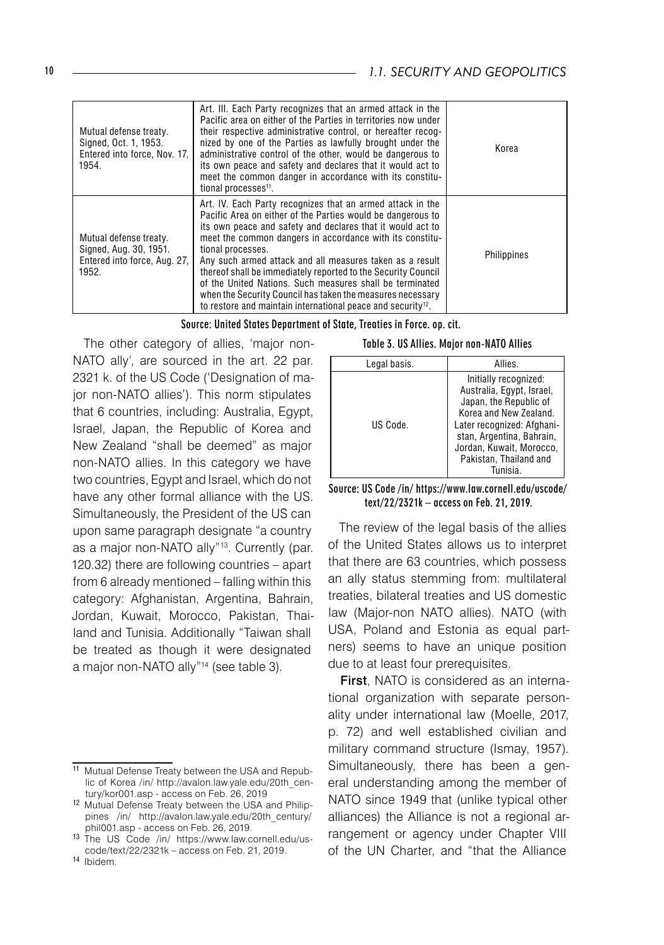| Mutual defense treaty.<br>Signed, Oct. 1, 1953.<br>Entered into force. Nov. 17.<br>1954.  | Art. III. Each Party recognizes that an armed attack in the<br>Pacific area on either of the Parties in territories now under<br>their respective administrative control, or hereafter recog-<br>nized by one of the Parties as lawfully brought under the<br>administrative control of the other, would be dangerous to<br>its own peace and safety and declares that it would act to<br>meet the common danger in accordance with its constitu-<br>tional processes <sup>11</sup> .                                                                                                                       | Korea       |
|-------------------------------------------------------------------------------------------|-------------------------------------------------------------------------------------------------------------------------------------------------------------------------------------------------------------------------------------------------------------------------------------------------------------------------------------------------------------------------------------------------------------------------------------------------------------------------------------------------------------------------------------------------------------------------------------------------------------|-------------|
| Mutual defense treaty.<br>Signed, Aug. 30, 1951.<br>Entered into force, Aug. 27,<br>1952. | Art. IV. Each Party recognizes that an armed attack in the<br>Pacific Area on either of the Parties would be dangerous to<br>its own peace and safety and declares that it would act to<br>meet the common dangers in accordance with its constitu-<br>tional processes.<br>Any such armed attack and all measures taken as a result<br>thereof shall be immediately reported to the Security Council<br>of the United Nations. Such measures shall be terminated<br>when the Security Council has taken the measures necessary<br>to restore and maintain international peace and security <sup>12</sup> . | Philippines |

Source: United States Department of State, Treaties in Force. op. cit.

The other category of allies, 'major non-NATO ally', are sourced in the art. 22 par. 2321 k. of the US Code ('Designation of major non-NATO allies'). This norm stipulates that 6 countries, including: Australia, Egypt, Israel, Japan, the Republic of Korea and New Zealand "shall be deemed" as major non-NATO allies. In this category we have two countries, Egypt and Israel, which do not have any other formal alliance with the US. Simultaneously, the President of the US can upon same paragraph designate "a country as a major non-NATO ally"<sup>13</sup>. Currently (par. 120.32) there are following countries – apart from 6 already mentioned – falling within this category: Afghanistan, Argentina, Bahrain, Jordan, Kuwait, Morocco, Pakistan, Thailand and Tunisia. Additionally "Taiwan shall be treated as though it were designated a major non-NATO ally"<sup>14</sup> (see table 3).

|  | Table 3. US Allies. Major non-NATO Allies |  |  |  |
|--|-------------------------------------------|--|--|--|
|--|-------------------------------------------|--|--|--|

| Legal basis. | Allies.                                                                                                                                                                                                                             |
|--------------|-------------------------------------------------------------------------------------------------------------------------------------------------------------------------------------------------------------------------------------|
| US Code.     | Initially recognized:<br>Australia, Egypt, Israel,<br>Japan, the Republic of<br>Korea and New Zealand.<br>Later recognized: Afghani-<br>stan, Argentina, Bahrain,<br>Jordan, Kuwait, Morocco,<br>Pakistan, Thailand and<br>Tunisia. |

#### Source: US Code /in/ https://www.law.cornell.edu/uscode/ text/22/2321k – access on Feb. 21, 2019.

The review of the legal basis of the allies of the United States allows us to interpret that there are 63 countries, which possess an ally status stemming from: multilateral treaties, bilateral treaties and US domestic law (Major-non NATO allies). NATO (with USA, Poland and Estonia as equal partners) seems to have an unique position due to at least four prerequisites.

First, NATO is considered as an international organization with separate personality under international law (Moelle, 2017, p. 72) and well established civilian and military command structure (Ismay, 1957). Simultaneously, there has been a general understanding among the member of NATO since 1949 that (unlike typical other alliances) the Alliance is not a regional arrangement or agency under Chapter VIII of the UN Charter, and "that the Alliance

<sup>11</sup> Mutual Defense Treaty between the USA and Republic of Korea /in/ http://avalon.law.yale.edu/20th\_century/kor001.asp - access on Feb. 26, 2019

<sup>12</sup> Mutual Defense Treaty between the USA and Philippines /in/ http://avalon.law.yale.edu/20th\_century/ phil001.asp - access on Feb. 26, 2019.

<sup>13</sup> The US Code /in/ https://www.law.cornell.edu/uscode/text/22/2321k – access on Feb. 21, 2019.

<sup>14</sup> Ibidem.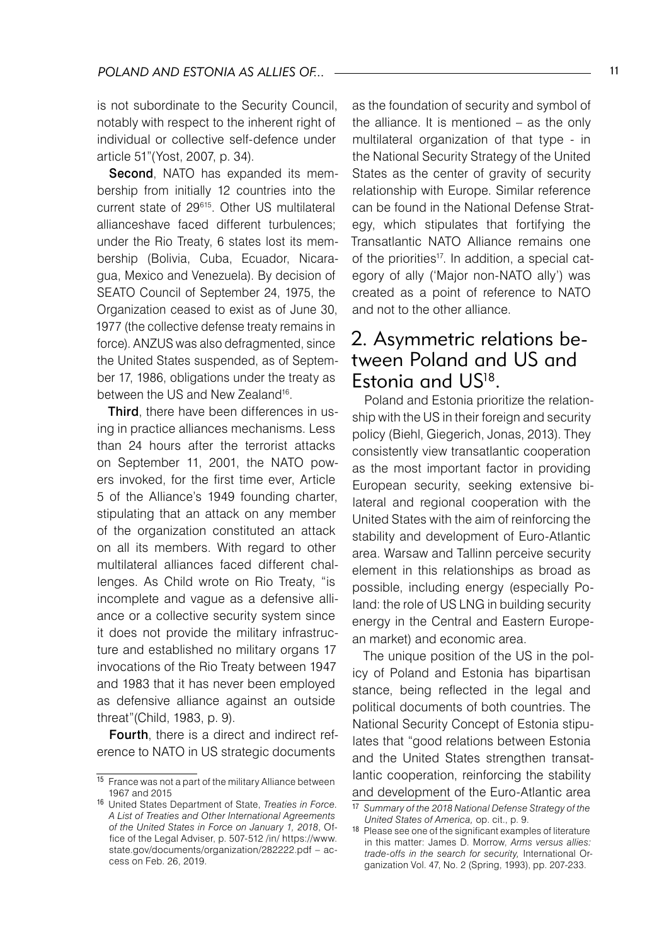is not subordinate to the Security Council, notably with respect to the inherent right of individual or collective self-defence under article 51"(Yost, 2007, p. 34).

Second, NATO has expanded its membership from initially 12 countries into the current state of 29<sup>615</sup>. Other US multilateral allianceshave faced different turbulences; under the Rio Treaty, 6 states lost its membership (Bolivia, Cuba, Ecuador, Nicaragua, Mexico and Venezuela). By decision of SEATO Council of September 24, 1975, the Organization ceased to exist as of June 30, 1977 (the collective defense treaty remains in force). ANZUS was also defragmented, since the United States suspended, as of September 17, 1986, obligations under the treaty as between the US and New Zealand<sup>16</sup>.

Third, there have been differences in using in practice alliances mechanisms. Less than 24 hours after the terrorist attacks on September 11, 2001, the NATO powers invoked, for the first time ever, Article 5 of the Alliance's 1949 founding charter, stipulating that an attack on any member of the organization constituted an attack on all its members. With regard to other multilateral alliances faced different challenges. As Child wrote on Rio Treaty, "is incomplete and vague as a defensive alliance or a collective security system since it does not provide the military infrastructure and established no military organs 17 invocations of the Rio Treaty between 1947 and 1983 that it has never been employed as defensive alliance against an outside threat"(Child, 1983, p. 9).

Fourth, there is a direct and indirect reference to NATO in US strategic documents

as the foundation of security and symbol of the alliance. It is mentioned – as the only multilateral organization of that type - in the National Security Strategy of the United States as the center of gravity of security relationship with Europe. Similar reference can be found in the National Defense Strategy, which stipulates that fortifying the Transatlantic NATO Alliance remains one of the priorities<sup>17</sup>. In addition, a special category of ally ('Major non-NATO ally') was created as a point of reference to NATO and not to the other alliance.

# 2. Asymmetric relations between Poland and US and Estonia and US18.

Poland and Estonia prioritize the relationship with the US in their foreign and security policy (Biehl, Giegerich, Jonas, 2013). They consistently view transatlantic cooperation as the most important factor in providing European security, seeking extensive bilateral and regional cooperation with the United States with the aim of reinforcing the stability and development of Euro-Atlantic area. Warsaw and Tallinn perceive security element in this relationships as broad as possible, including energy (especially Poland: the role of US LNG in building security energy in the Central and Eastern European market) and economic area.

The unique position of the US in the policy of Poland and Estonia has bipartisan stance, being reflected in the legal and political documents of both countries. The National Security Concept of Estonia stipulates that "good relations between Estonia and the United States strengthen transatlantic cooperation, reinforcing the stability and development of the Euro-Atlantic area

<sup>15</sup> France was not a part of the military Alliance between 1967 and 2015

<sup>16</sup> United States Department of State, *Treaties in Force. A List of Treaties and Other International Agreements of the United States in Force on January 1, 2018*, Office of the Legal Adviser, p. 507-512 /in/ https://www. state.gov/documents/organization/282222.pdf – access on Feb. 26, 2019.

<sup>17</sup> *Summary of the 2018 National Defense Strategy of the United States of America,* op. cit., p. 9.

<sup>18</sup> Please see one of the significant examples of literature in this matter: James D. Morrow, *Arms versus allies: trade-offs in the search for security,* International Organization Vol. 47, No. 2 (Spring, 1993), pp. 207-233.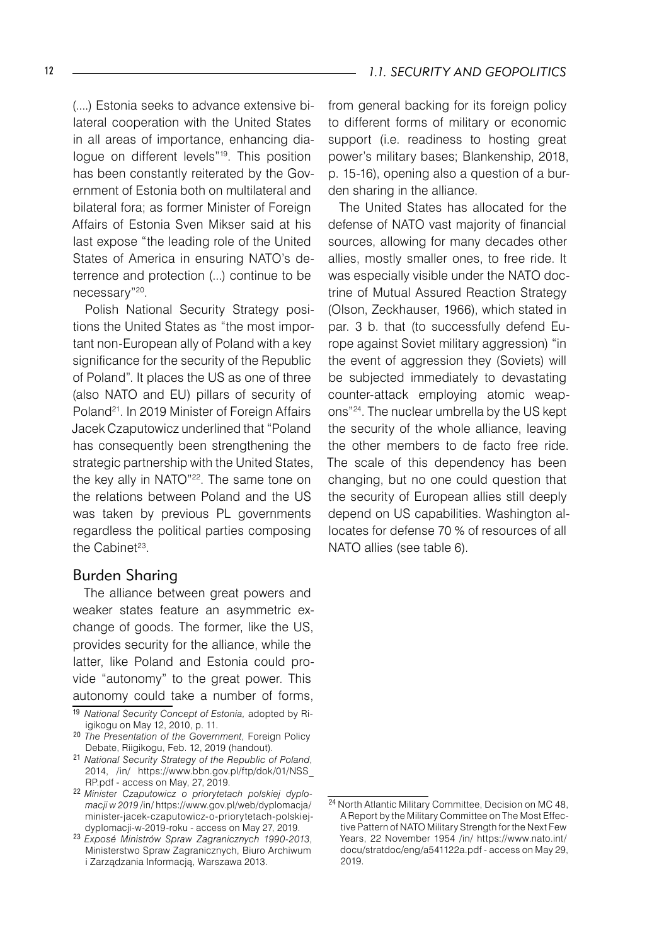(....) Estonia seeks to advance extensive bilateral cooperation with the United States in all areas of importance, enhancing dialoque on different levels"<sup>19</sup>. This position has been constantly reiterated by the Government of Estonia both on multilateral and bilateral fora; as former Minister of Foreign Affairs of Estonia Sven Mikser said at his last expose "the leading role of the United States of America in ensuring NATO's deterrence and protection (...) continue to be necessary"20.

Polish National Security Strategy positions the United States as "the most important non-European ally of Poland with a key significance for the security of the Republic of Poland". It places the US as one of three (also NATO and EU) pillars of security of Poland<sup>21</sup>. In 2019 Minister of Foreign Affairs Jacek Czaputowicz underlined that "Poland has consequently been strengthening the strategic partnership with the United States, the key ally in NATO"<sup>22</sup>. The same tone on the relations between Poland and the US was taken by previous PL governments regardless the political parties composing the Cabinet $23$ .

#### Burden Sharing

The alliance between great powers and weaker states feature an asymmetric exchange of goods. The former, like the US, provides security for the alliance, while the latter, like Poland and Estonia could provide "autonomy" to the great power. This autonomy could take a number of forms, from general backing for its foreign policy to different forms of military or economic support (i.e. readiness to hosting great power's military bases; Blankenship, 2018, p. 15-16), opening also a question of a burden sharing in the alliance.

The United States has allocated for the defense of NATO vast majority of financial sources, allowing for many decades other allies, mostly smaller ones, to free ride. It was especially visible under the NATO doctrine of Mutual Assured Reaction Strategy (Olson, Zeckhauser, 1966), which stated in par. 3 b. that (to successfully defend Europe against Soviet military aggression) "in the event of aggression they (Soviets) will be subjected immediately to devastating counter-attack employing atomic weapons"24. The nuclear umbrella by the US kept the security of the whole alliance, leaving the other members to de facto free ride. The scale of this dependency has been changing, but no one could question that the security of European allies still deeply depend on US capabilities. Washington allocates for defense 70 % of resources of all NATO allies (see table 6).

<sup>19</sup> *National Security Concept of Estonia,* adopted by Riigikogu on May 12, 2010, p. 11.

<sup>20</sup> *The Presentation of the Government*, Foreign Policy Debate, Riigikogu, Feb. 12, 2019 (handout).

<sup>21</sup> *National Security Strategy of the Republic of Poland*, 2014, /in/ https://www.bbn.gov.pl/ftp/dok/01/NSS\_ RP.pdf - access on May, 27, 2019.

<sup>22</sup> *Minister Czaputowicz o priorytetach polskiej dyplomacji w 2019* /in/ https://www.gov.pl/web/dyplomacja/ minister-jacek-czaputowicz-o-priorytetach-polskiejdyplomacji-w-2019-roku - access on May 27, 2019.

<sup>23</sup> *Exposé Ministrów Spraw Zagranicznych 1990-2013*, Ministerstwo Spraw Zagranicznych, Biuro Archiwum i Zarządzania Informacją, Warszawa 2013.

<sup>24</sup> North Atlantic Military Committee, Decision on MC 48, A Report by the Military Committee on The Most Effective Pattern of NATO Military Strength for the Next Few Years, 22 November 1954 /in/ https://www.nato.int/ docu/stratdoc/eng/a541122a.pdf - access on May 29, 2019.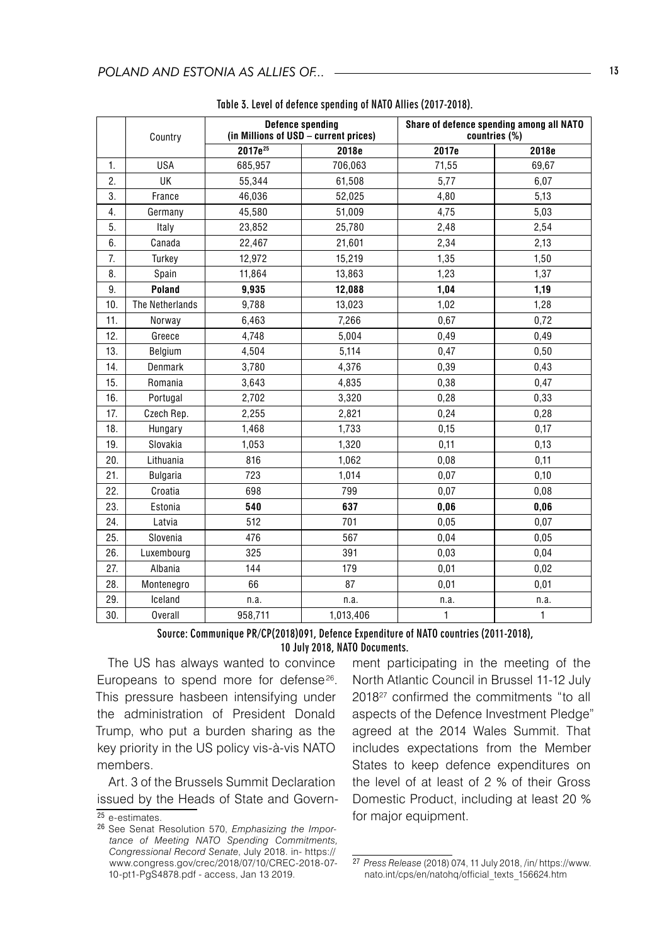|     | Country         | <b>Defence spending</b><br>(in Millions of USD - current prices) |           | Share of defence spending among all NATO<br>countries (%) |       |
|-----|-----------------|------------------------------------------------------------------|-----------|-----------------------------------------------------------|-------|
|     |                 | 2017e <sup>25</sup>                                              | 2018e     | 2017e                                                     | 2018e |
| 1.  | <b>USA</b>      | 685,957                                                          | 706,063   | 71,55                                                     | 69,67 |
| 2.  | <b>UK</b>       | 55,344                                                           | 61,508    | 5,77                                                      | 6,07  |
| 3.  | France          | 46,036                                                           | 52,025    | 4,80                                                      | 5,13  |
| 4.  | Germany         | 45,580                                                           | 51,009    | 4,75                                                      | 5,03  |
| 5.  | Italy           | 23,852                                                           | 25,780    | 2,48                                                      | 2,54  |
| 6.  | Canada          | 22,467                                                           | 21,601    | 2,34                                                      | 2,13  |
| 7.  | Turkey          | 12,972                                                           | 15,219    | 1,35                                                      | 1,50  |
| 8.  | Spain           | 11,864                                                           | 13,863    | 1,23                                                      | 1,37  |
| 9.  | Poland          | 9,935                                                            | 12,088    | 1,04                                                      | 1,19  |
| 10. | The Netherlands | 9,788                                                            | 13,023    | 1,02                                                      | 1,28  |
| 11. | Norway          | 6,463                                                            | 7,266     | 0,67                                                      | 0,72  |
| 12. | Greece          | 4,748                                                            | 5,004     | 0,49                                                      | 0,49  |
| 13. | Belgium         | 4,504                                                            | 5,114     | 0,47                                                      | 0,50  |
| 14. | Denmark         | 3,780                                                            | 4,376     | 0,39                                                      | 0,43  |
| 15. | Romania         | 3,643                                                            | 4,835     | 0,38                                                      | 0,47  |
| 16. | Portugal        | 2,702                                                            | 3,320     | 0,28                                                      | 0,33  |
| 17. | Czech Rep.      | 2,255                                                            | 2,821     | 0,24                                                      | 0,28  |
| 18. | Hungary         | 1,468                                                            | 1,733     | 0,15                                                      | 0,17  |
| 19. | Slovakia        | 1,053                                                            | 1,320     | 0,11                                                      | 0,13  |
| 20. | Lithuania       | 816                                                              | 1,062     | 0,08                                                      | 0,11  |
| 21. | <b>Bulgaria</b> | 723                                                              | 1,014     | 0,07                                                      | 0,10  |
| 22. | Croatia         | 698                                                              | 799       | 0,07                                                      | 0,08  |
| 23. | Estonia         | 540                                                              | 637       | 0,06                                                      | 0,06  |
| 24. | Latvia          | 512                                                              | 701       | 0.05                                                      | 0,07  |
| 25. | Slovenia        | 476                                                              | 567       | 0,04                                                      | 0.05  |
| 26. | Luxembourg      | 325                                                              | 391       | 0,03                                                      | 0,04  |
| 27. | Albania         | 144                                                              | 179       | 0.01                                                      | 0,02  |
| 28. | Montenegro      | 66                                                               | 87        | 0.01                                                      | 0,01  |
| 29. | Iceland         | n.a.                                                             | n.a.      | n.a.                                                      | n.a.  |
| 30. | <b>Overall</b>  | 958,711                                                          | 1,013,406 | 1                                                         | 1     |

| Table 3. Level of defence spending of NATO Allies (2017-2018). |  |  |  |
|----------------------------------------------------------------|--|--|--|
|----------------------------------------------------------------|--|--|--|

#### Source: Communique PR/CP(2018)091, Defence Expenditure of NATO countries (2011-2018), 10 July 2018, NATO Documents.

The US has always wanted to convince Europeans to spend more for defense<sup>26</sup>. This pressure hasbeen intensifying under the administration of President Donald Trump, who put a burden sharing as the key priority in the US policy vis-à-vis NATO members.

Art. 3 of the Brussels Summit Declaration issued by the Heads of State and Government participating in the meeting of the North Atlantic Council in Brussel 11-12 July 201827 confirmed the commitments "to all aspects of the Defence Investment Pledge" agreed at the 2014 Wales Summit. That includes expectations from the Member States to keep defence expenditures on the level of at least of 2 % of their Gross Domestic Product, including at least 20 % for major equipment.

<sup>25</sup> e-estimates.

<sup>26</sup> See Senat Resolution 570, *Emphasizing the Importance of Meeting NATO Spending Commitments, Congressional Record Senate*, July 2018. in- https:// www.congress.gov/crec/2018/07/10/CREC-2018-07- 10-pt1-PgS4878.pdf - access, Jan 13 2019.

<sup>27</sup> *Press Release* (2018) 074, 11 July 2018, /in/ https://www. nato.int/cps/en/natohq/official\_texts\_156624.htm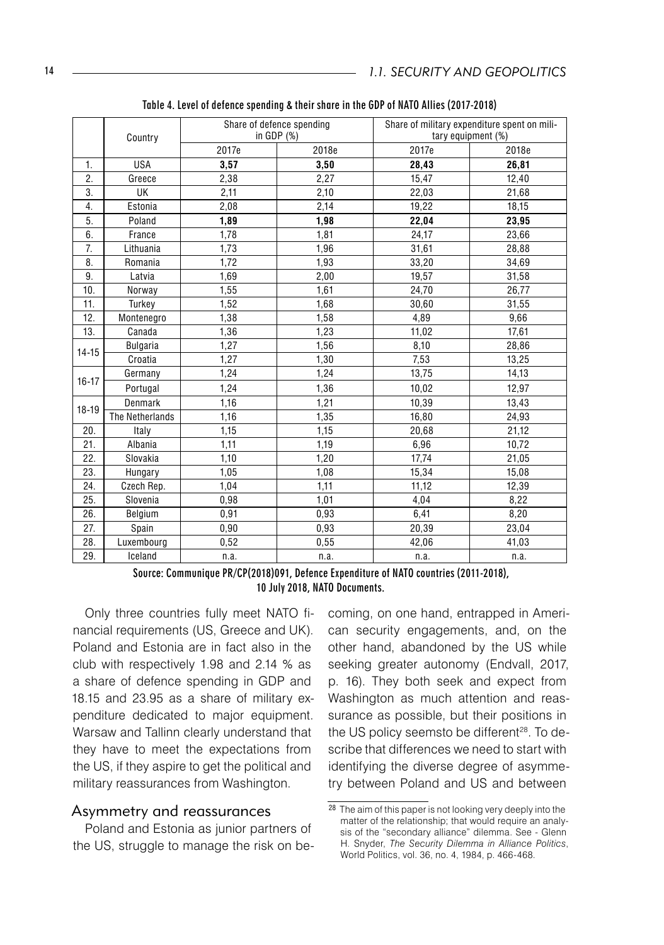|           | Country         | Share of defence spending<br>in GDP $(%)$ |       | Share of military expenditure spent on mili-<br>tary equipment (%) |       |
|-----------|-----------------|-------------------------------------------|-------|--------------------------------------------------------------------|-------|
|           |                 | 2017e                                     | 2018e | 2017e                                                              | 2018e |
| 1.        | <b>USA</b>      | 3.57                                      | 3.50  | 28.43                                                              | 26.81 |
| 2.        | Greece          | 2,38                                      | 2,27  | 15,47                                                              | 12,40 |
| 3.        | UK              | 2,11                                      | 2,10  | 22,03                                                              | 21,68 |
| 4.        | Estonia         | 2,08                                      | 2,14  | 19,22                                                              | 18,15 |
| 5.        | Poland          | 1,89                                      | 1,98  | 22,04                                                              | 23,95 |
| 6.        | France          | 1,78                                      | 1,81  | 24,17                                                              | 23,66 |
| 7.        | Lithuania       | 1,73                                      | 1,96  | 31,61                                                              | 28,88 |
| 8.        | Romania         | 1.72                                      | 1,93  | 33,20                                                              | 34,69 |
| 9.        | Latvia          | 1,69                                      | 2,00  | 19,57                                                              | 31,58 |
| 10.       | Norway          | 1,55                                      | 1,61  | 24,70                                                              | 26,77 |
| 11.       | Turkey          | 1,52                                      | 1,68  | 30,60                                                              | 31,55 |
| 12.       | Montenegro      | 1,38                                      | 1,58  | 4,89                                                               | 9,66  |
| 13.       | Canada          | 1,36                                      | 1,23  | 11,02                                                              | 17,61 |
| $14 - 15$ | <b>Bulgaria</b> | 1.27                                      | 1,56  | 8,10                                                               | 28,86 |
|           | Croatia         | 1,27                                      | 1,30  | 7,53                                                               | 13,25 |
|           | Germany         | 1,24                                      | 1,24  | 13,75                                                              | 14,13 |
| $16 - 17$ | Portugal        | 1,24                                      | 1,36  | 10,02                                                              | 12,97 |
| $18 - 19$ | Denmark         | 1,16                                      | 1,21  | 10,39                                                              | 13,43 |
|           | The Netherlands | 1,16                                      | 1,35  | 16,80                                                              | 24,93 |
| 20.       | Italy           | 1,15                                      | 1,15  | 20,68                                                              | 21,12 |
| 21.       | Albania         | 1,11                                      | 1,19  | 6,96                                                               | 10,72 |
| 22.       | Slovakia        | 1,10                                      | 1,20  | 17,74                                                              | 21,05 |
| 23.       | Hungary         | 1.05                                      | 1,08  | 15,34                                                              | 15,08 |
| 24.       | Czech Rep.      | 1,04                                      | 1,11  | 11,12                                                              | 12,39 |
| 25.       | Slovenia        | 0,98                                      | 1,01  | 4,04                                                               | 8,22  |
| 26.       | Belgium         | 0,91                                      | 0,93  | 6,41                                                               | 8,20  |
| 27.       | Spain           | 0,90                                      | 0,93  | 20,39                                                              | 23,04 |
| 28.       | Luxembourg      | 0,52                                      | 0,55  | 42,06                                                              | 41,03 |
| 29.       | Iceland         | n.a.                                      | n.a.  | n.a.                                                               | n.a.  |

Table 4. Level of defence spending & their share in the GDP of NATO Allies (2017-2018)

Source: Communique PR/CP(2018)091, Defence Expenditure of NATO countries (2011-2018), 10 July 2018, NATO Documents.

Only three countries fully meet NATO financial requirements (US, Greece and UK). Poland and Estonia are in fact also in the club with respectively 1.98 and 2.14 % as a share of defence spending in GDP and 18.15 and 23.95 as a share of military expenditure dedicated to major equipment. Warsaw and Tallinn clearly understand that they have to meet the expectations from the US, if they aspire to get the political and military reassurances from Washington.

#### Asymmetry and reassurances

Poland and Estonia as junior partners of the US, struggle to manage the risk on becoming, on one hand, entrapped in American security engagements, and, on the other hand, abandoned by the US while seeking greater autonomy (Endvall, 2017, p. 16). They both seek and expect from Washington as much attention and reassurance as possible, but their positions in the US policy seemsto be different<sup>28</sup>. To describe that differences we need to start with identifying the diverse degree of asymmetry between Poland and US and between

<sup>28</sup> The aim of this paper is not looking very deeply into the matter of the relationship; that would require an analysis of the "secondary alliance" dilemma. See - Glenn H. Snyder, *The Security Dilemma in Alliance Politics*, World Politics, vol. 36, no. 4, 1984, p. 466-468.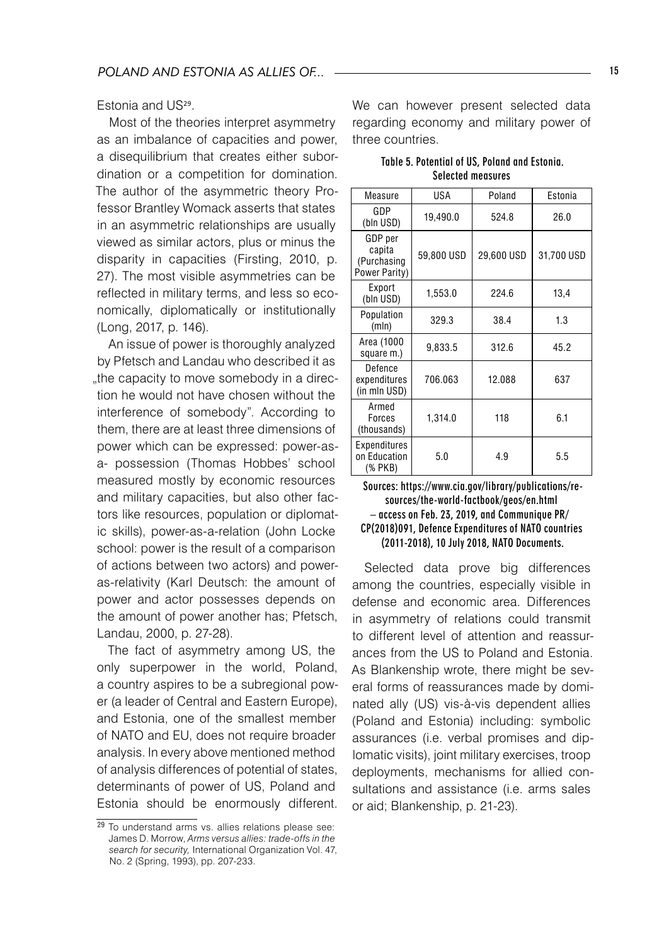Estonia and US<sup>29</sup>.

Most of the theories interpret asymmetry as an imbalance of capacities and power, a disequilibrium that creates either subordination or a competition for domination. The author of the asymmetric theory Professor Brantley Womack asserts that states in an asymmetric relationships are usually viewed as similar actors, plus or minus the disparity in capacities (Firsting, 2010, p. 27). The most visible asymmetries can be reflected in military terms, and less so economically, diplomatically or institutionally (Long, 2017, p. 146).

An issue of power is thoroughly analyzed by Pfetsch and Landau who described it as "the capacity to move somebody in a direction he would not have chosen without the interference of somebody". According to them, there are at least three dimensions of power which can be expressed: power-asa- possession (Thomas Hobbes' school measured mostly by economic resources and military capacities, but also other factors like resources, population or diplomatic skills), power-as-a-relation (John Locke school: power is the result of a comparison of actions between two actors) and poweras-relativity (Karl Deutsch: the amount of power and actor possesses depends on the amount of power another has; Pfetsch, Landau, 2000, p. 27-28).

The fact of asymmetry among US, the only superpower in the world, Poland, a country aspires to be a subregional power (a leader of Central and Eastern Europe), and Estonia, one of the smallest member of NATO and EU, does not require broader analysis. In every above mentioned method of analysis differences of potential of states, determinants of power of US, Poland and Estonia should be enormously different. We can however present selected data regarding economy and military power of three countries.

| Table 5. Potential of US, Poland and Estonia. |
|-----------------------------------------------|
| <b>Selected measures</b>                      |

| Measure                                           | USA        | Poland     | Estonia    |
|---------------------------------------------------|------------|------------|------------|
| GDP<br>(bln USD)                                  | 19,490.0   | 524.8      | 26.0       |
| GDP per<br>capita<br>(Purchasing<br>Power Parity) | 59,800 USD | 29,600 USD | 31,700 USD |
| Export<br>(bln USD)                               | 1.553.0    | 224.6      | 13,4       |
| Population<br>(mln)                               | 329.3      | 38.4       | 1.3        |
| Area (1000<br>square m.)                          | 9,833.5    | 312.6      | 45.2       |
| Defence<br>expenditures<br>(in mln USD)           | 706.063    | 12.088     | 637        |
| Armed<br>Forces<br>(thousands)                    | 1,314.0    | 118        | 6.1        |
| Expenditures<br>on Education<br>(% PKB)           | 5.0        | 4.9        | 5.5        |

#### Sources: https://www.cia.gov/library/publications/resources/the-world-factbook/geos/en.html – access on Feb. 23, 2019, and Communique PR/ CP(2018)091, Defence Expenditures of NATO countries (2011-2018), 10 July 2018, NATO Documents.

Selected data prove big differences among the countries, especially visible in defense and economic area. Differences in asymmetry of relations could transmit to different level of attention and reassurances from the US to Poland and Estonia. As Blankenship wrote, there might be several forms of reassurances made by dominated ally (US) vis-à-vis dependent allies (Poland and Estonia) including: symbolic assurances (i.e. verbal promises and diplomatic visits), joint military exercises, troop deployments, mechanisms for allied consultations and assistance (i.e. arms sales or aid; Blankenship, p. 21-23).

<sup>29</sup> To understand arms vs. allies relations please see: James D. Morrow, *Arms versus allies: trade-offs in the search for security,* International Organization Vol. 47, No. 2 (Spring, 1993), pp. 207-233.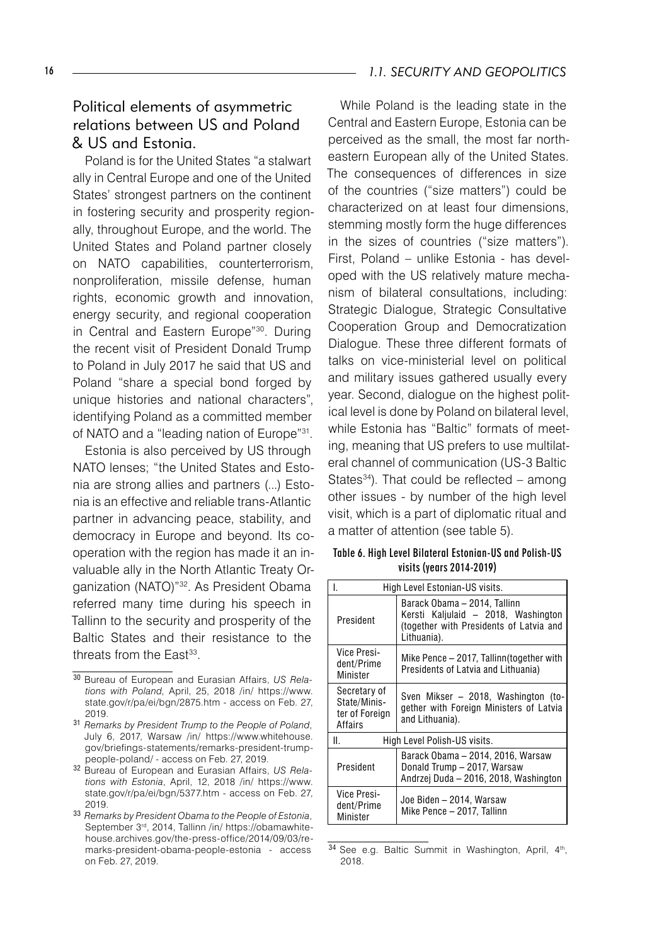#### 16 **16 1.1. SECURITY AND GEOPOLITICS**

# Political elements of asymmetric relations between US and Poland & US and Estonia.

Poland is for the United States "a stalwart ally in Central Europe and one of the United States' strongest partners on the continent in fostering security and prosperity regionally, throughout Europe, and the world. The United States and Poland partner closely on NATO capabilities, counterterrorism, nonproliferation, missile defense, human rights, economic growth and innovation, energy security, and regional cooperation in Central and Eastern Europe"30. During the recent visit of President Donald Trump to Poland in July 2017 he said that US and Poland "share a special bond forged by unique histories and national characters", identifying Poland as a committed member of NATO and a "leading nation of Europe"31.

Estonia is also perceived by US through NATO lenses; "the United States and Estonia are strong allies and partners (...) Estonia is an effective and reliable trans-Atlantic partner in advancing peace, stability, and democracy in Europe and beyond. Its cooperation with the region has made it an invaluable ally in the North Atlantic Treaty Organization (NATO)"32. As President Obama referred many time during his speech in Tallinn to the security and prosperity of the Baltic States and their resistance to the threats from the East<sup>33</sup>.

While Poland is the leading state in the Central and Eastern Europe, Estonia can be perceived as the small, the most far northeastern European ally of the United States. The consequences of differences in size of the countries ("size matters") could be characterized on at least four dimensions, stemming mostly form the huge differences in the sizes of countries ("size matters"). First, Poland – unlike Estonia - has developed with the US relatively mature mechanism of bilateral consultations, including: Strategic Dialogue, Strategic Consultative Cooperation Group and Democratization Dialogue. These three different formats of talks on vice-ministerial level on political and military issues gathered usually every year. Second, dialogue on the highest political level is done by Poland on bilateral level, while Estonia has "Baltic" formats of meeting, meaning that US prefers to use multilateral channel of communication (US-3 Baltic States $34$ ). That could be reflected – among other issues - by number of the high level visit, which is a part of diplomatic ritual and a matter of attention (see table 5).

Table 6. High Level Bilateral Estonian-US and Polish-US visits (years 2014-2019)

| High Level Estonian-US visits.                                                                                                             |                                                                                                           |  |
|--------------------------------------------------------------------------------------------------------------------------------------------|-----------------------------------------------------------------------------------------------------------|--|
| Barack Obama - 2014, Tallinn<br>Kersti Kaljulaid – 2018, Washington<br>President<br>(together with Presidents of Latvia and<br>Lithuania). |                                                                                                           |  |
| Vice Presi-<br>dent/Prime<br>Minister                                                                                                      | Mike Pence – 2017, Tallinn(together with<br>Presidents of Latvia and Lithuania)                           |  |
| Secretary of<br>State/Minis-<br>ter of Foreign<br>Affairs                                                                                  | Sven Mikser - 2018, Washington (to-<br>gether with Foreign Ministers of Latvia<br>and Lithuania).         |  |
| ΙΙ.<br>High Level Polish-US visits.                                                                                                        |                                                                                                           |  |
| President                                                                                                                                  | Barack Obama – 2014, 2016, Warsaw<br>Donald Trump - 2017, Warsaw<br>Andrzej Duda – 2016, 2018, Washington |  |
| Vice Presi-<br>dent/Prime<br>Minister                                                                                                      | Joe Biden – 2014, Warsaw<br>Mike Pence - 2017, Tallinn                                                    |  |

<sup>34</sup> See e.g. Baltic Summit in Washington, April, 4<sup>th</sup>, 2018.

<sup>30</sup> Bureau of European and Eurasian Affairs, *US Relations with Poland*, April, 25, 2018 /in/ https://www. state.gov/r/pa/ei/bgn/2875.htm - access on Feb. 27, 2019.

<sup>31</sup> *Remarks by President Trump to the People of Poland*, July 6, 2017, Warsaw /in/ https://www.whitehouse. gov/briefings-statements/remarks-president-trumppeople-poland/ - access on Feb. 27, 2019.

<sup>32</sup> Bureau of European and Eurasian Affairs, *US Relations with Estonia*, April, 12, 2018 /in/ https://www. state.gov/r/pa/ei/bgn/5377.htm - access on Feb. 27, 2019.

<sup>33</sup> *Remarks by President Obama to the People of Estonia*, September 3rd, 2014, Tallinn /in/ https://obamawhitehouse.archives.gov/the-press-office/2014/09/03/remarks-president-obama-people-estonia - access on Feb. 27, 2019.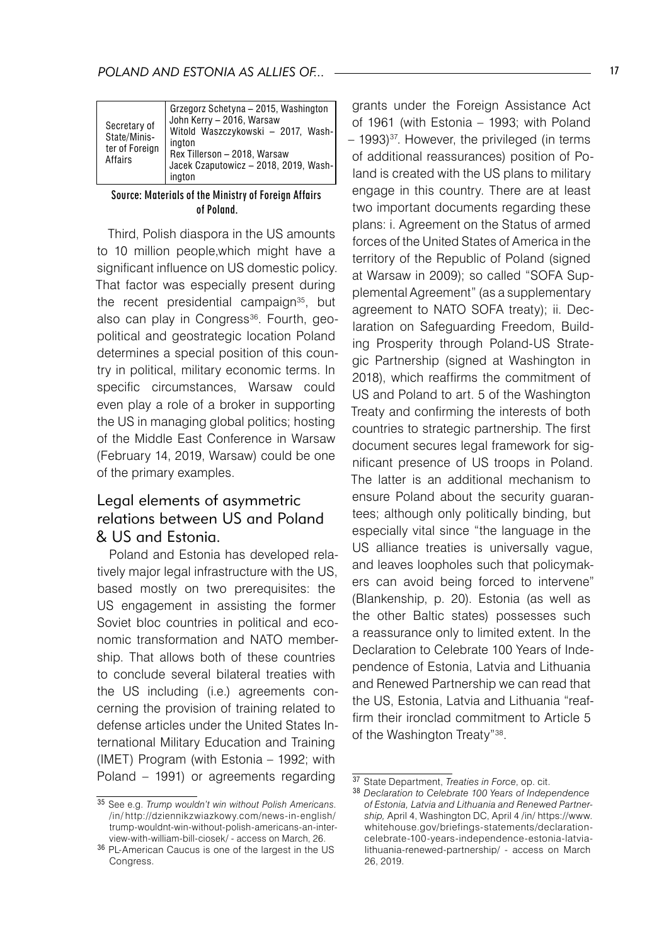| Secretary of<br>State/Minis-<br>ter of Foreign<br>Affairs | Grzegorz Schetyna - 2015, Washington<br>John Kerry - 2016, Warsaw<br>Witold Waszczykowski - 2017, Wash-<br>ington<br>Rex Tillerson - 2018, Warsaw<br>Jacek Czaputowicz - 2018, 2019, Wash-<br>ington |
|-----------------------------------------------------------|------------------------------------------------------------------------------------------------------------------------------------------------------------------------------------------------------|
|-----------------------------------------------------------|------------------------------------------------------------------------------------------------------------------------------------------------------------------------------------------------------|

#### Source: Materials of the Ministry of Foreign Affairs of Poland.

Third, Polish diaspora in the US amounts to 10 million people,which might have a significant influence on US domestic policy. That factor was especially present during the recent presidential campaign<sup>35</sup>, but also can play in Congress<sup>36</sup>. Fourth, geopolitical and geostrategic location Poland determines a special position of this country in political, military economic terms. In specific circumstances, Warsaw could even play a role of a broker in supporting the US in managing global politics; hosting of the Middle East Conference in Warsaw (February 14, 2019, Warsaw) could be one of the primary examples.

# Legal elements of asymmetric relations between US and Poland & US and Estonia.

Poland and Estonia has developed relatively major legal infrastructure with the US, based mostly on two prerequisites: the US engagement in assisting the former Soviet bloc countries in political and economic transformation and NATO membership. That allows both of these countries to conclude several bilateral treaties with the US including (i.e.) agreements concerning the provision of training related to defense articles under the United States International Military Education and Training (IMET) Program (with Estonia – 1992; with Poland – 1991) or agreements regarding

grants under the Foreign Assistance Act of 1961 (with Estonia – 1993; with Poland  $-$  1993)<sup>37</sup>. However, the privileged (in terms of additional reassurances) position of Poland is created with the US plans to military engage in this country. There are at least two important documents regarding these plans: i. Agreement on the Status of armed forces of the United States of America in the territory of the Republic of Poland (signed at Warsaw in 2009); so called "SOFA Supplemental Agreement" (as a supplementary agreement to NATO SOFA treaty); ii. Declaration on Safeguarding Freedom, Building Prosperity through Poland-US Strategic Partnership (signed at Washington in 2018), which reaffirms the commitment of US and Poland to art. 5 of the Washington Treaty and confirming the interests of both countries to strategic partnership. The first document secures legal framework for significant presence of US troops in Poland. The latter is an additional mechanism to ensure Poland about the security guarantees; although only politically binding, but especially vital since "the language in the US alliance treaties is universally vague, and leaves loopholes such that policymakers can avoid being forced to intervene" (Blankenship, p. 20). Estonia (as well as the other Baltic states) possesses such a reassurance only to limited extent. In the Declaration to Celebrate 100 Years of Independence of Estonia, Latvia and Lithuania and Renewed Partnership we can read that the US, Estonia, Latvia and Lithuania "reaffirm their ironclad commitment to Article 5 of the Washington Treaty"38.

<sup>35</sup> See e.g. *Trump wouldn't win without Polish Americans*. /in/ http://dziennikzwiazkowy.com/news-in-english/ trump-wouldnt-win-without-polish-americans-an-interview-with-william-bill-ciosek/ - access on March, 26.

<sup>36</sup> PL-American Caucus is one of the largest in the US Congress.

<sup>37</sup> State Department, *Treaties in Force*, op. cit.

<sup>38</sup> *Declaration to Celebrate 100 Years of Independence of Estonia, Latvia and Lithuania and Renewed Partnership,* April 4, Washington DC, April 4 /in/ https://www. whitehouse.gov/briefings-statements/declarationcelebrate-100-years-independence-estonia-latvialithuania-renewed-partnership/ - access on March 26, 2019.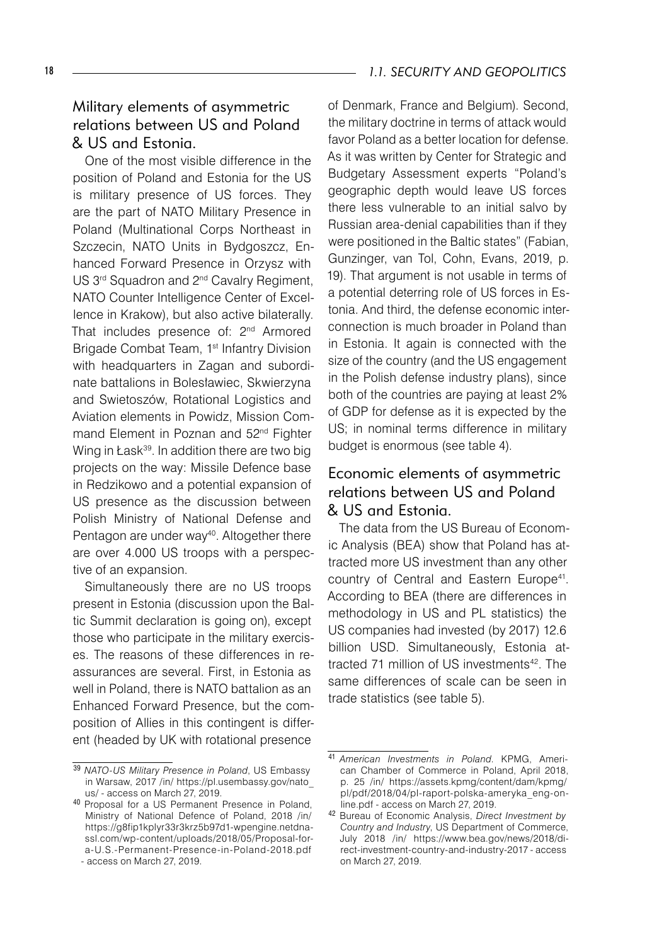#### 18 **18 18 1.1. SECURITY AND GEOPOLITICS**

# Military elements of asymmetric relations between US and Poland & US and Estonia.

One of the most visible difference in the position of Poland and Estonia for the US is military presence of US forces. They are the part of NATO Military Presence in Poland (Multinational Corps Northeast in Szczecin, NATO Units in Bydgoszcz, Enhanced Forward Presence in Orzysz with US 3<sup>rd</sup> Squadron and 2<sup>nd</sup> Cavalry Regiment, NATO Counter Intelligence Center of Excellence in Krakow), but also active bilaterally. That includes presence of: 2<sup>nd</sup> Armored Brigade Combat Team, 1<sup>st</sup> Infantry Division with headquarters in Zagan and subordinate battalions in Bolesławiec, Skwierzyna and Swietoszów, Rotational Logistics and Aviation elements in Powidz, Mission Command Element in Poznan and 52<sup>nd</sup> Fighter Wing in Łask<sup>39</sup>. In addition there are two big projects on the way: Missile Defence base in Redzikowo and a potential expansion of US presence as the discussion between Polish Ministry of National Defense and Pentagon are under way<sup>40</sup>. Altogether there are over 4.000 US troops with a perspective of an expansion.

Simultaneously there are no US troops present in Estonia (discussion upon the Baltic Summit declaration is going on), except those who participate in the military exercises. The reasons of these differences in reassurances are several. First, in Estonia as well in Poland, there is NATO battalion as an Enhanced Forward Presence, but the composition of Allies in this contingent is different (headed by UK with rotational presence

of Denmark, France and Belgium). Second, the military doctrine in terms of attack would favor Poland as a better location for defense. As it was written by Center for Strategic and Budgetary Assessment experts "Poland's geographic depth would leave US forces there less vulnerable to an initial salvo by Russian area-denial capabilities than if they were positioned in the Baltic states" (Fabian, Gunzinger, van Tol, Cohn, Evans, 2019, p. 19). That argument is not usable in terms of a potential deterring role of US forces in Estonia. And third, the defense economic interconnection is much broader in Poland than in Estonia. It again is connected with the size of the country (and the US engagement in the Polish defense industry plans), since both of the countries are paying at least 2% of GDP for defense as it is expected by the US; in nominal terms difference in military budget is enormous (see table 4).

## Economic elements of asymmetric relations between US and Poland & US and Estonia.

The data from the US Bureau of Economic Analysis (BEA) show that Poland has attracted more US investment than any other country of Central and Eastern Europe<sup>41</sup>. According to BEA (there are differences in methodology in US and PL statistics) the US companies had invested (by 2017) 12.6 billion USD. Simultaneously, Estonia attracted 71 million of US investments<sup>42</sup>. The same differences of scale can be seen in trade statistics (see table 5).

<sup>39</sup> *NATO-US Military Presence in Poland*, US Embassy in Warsaw, 2017 /in/ https://pl.usembassy.gov/nato\_ us/ - access on March 27, 2019.

<sup>40</sup> Proposal for a US Permanent Presence in Poland, Ministry of National Defence of Poland, 2018 /in/ https://g8fip1kplyr33r3krz5b97d1-wpengine.netdnassl.com/wp-content/uploads/2018/05/Proposal-fora-U.S.-Permanent-Presence-in-Poland-2018.pdf - access on March 27, 2019.

<sup>41</sup> *American Investments in Poland*. KPMG, American Chamber of Commerce in Poland, April 2018, p. 25 /in/ https://assets.kpmg/content/dam/kpmg/ pl/pdf/2018/04/pl-raport-polska-ameryka\_eng-online.pdf - access on March 27, 2019.

<sup>42</sup> Bureau of Economic Analysis, *Direct Investment by Country and Industry*, US Department of Commerce, July 2018 /in/ https://www.bea.gov/news/2018/direct-investment-country-and-industry-2017 - access on March 27, 2019.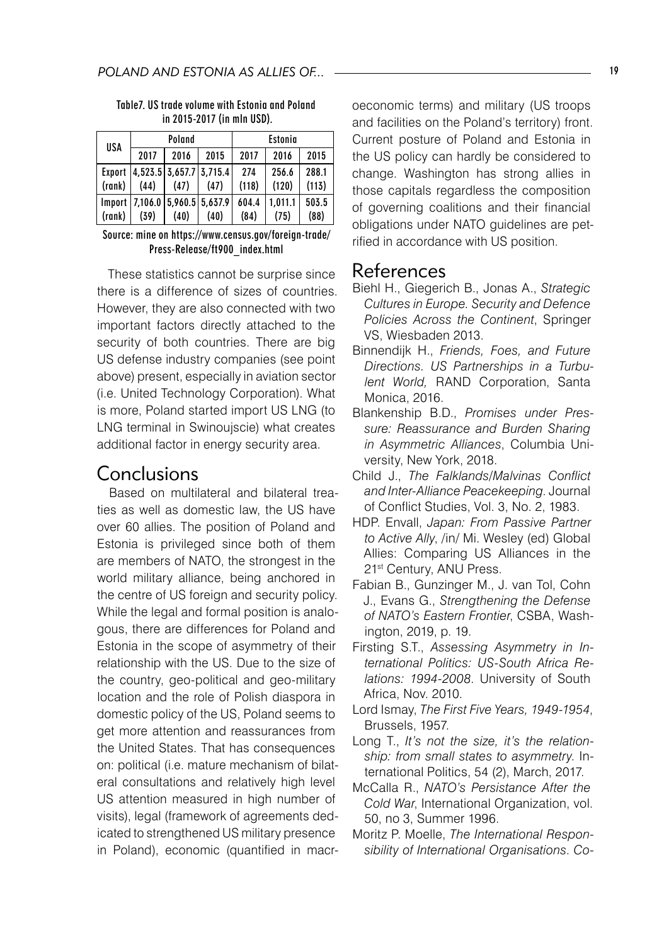| USA    | Poland                               |      |      | Estonia |         |       |
|--------|--------------------------------------|------|------|---------|---------|-------|
|        | 2017                                 | 2016 | 2015 | 2017    | 2016    | 2015  |
|        | Export   4,523.5   3,657.7   3,715.4 |      |      | 274     | 256.6   | 288.1 |
| (rank) | (44)                                 | (47) | (47) | (118)   | (120)   | (113) |
|        | Import   7,106.0   5,960.5   5,637.9 |      |      | 604.4   | 1.011.1 | 503.5 |
| (rank) | (39)                                 | (40) | (40) | (84)    | (75)    | (88)  |

Table7. US trade volume with Estonia and Poland in 2015-2017 (in mln USD).

Source: mine on https://www.census.gov/foreign-trade/ Press-Release/ft900\_index.html

These statistics cannot be surprise since there is a difference of sizes of countries. However, they are also connected with two important factors directly attached to the security of both countries. There are big US defense industry companies (see point above) present, especially in aviation sector (i.e. United Technology Corporation). What is more, Poland started import US LNG (to LNG terminal in Swinoujscie) what creates additional factor in energy security area.

## Conclusions

Based on multilateral and bilateral treaties as well as domestic law, the US have over 60 allies. The position of Poland and Estonia is privileged since both of them are members of NATO, the strongest in the world military alliance, being anchored in the centre of US foreign and security policy. While the legal and formal position is analogous, there are differences for Poland and Estonia in the scope of asymmetry of their relationship with the US. Due to the size of the country, geo-political and geo-military location and the role of Polish diaspora in domestic policy of the US, Poland seems to get more attention and reassurances from the United States. That has consequences on: political (i.e. mature mechanism of bilateral consultations and relatively high level US attention measured in high number of visits), legal (framework of agreements dedicated to strengthened US military presence in Poland), economic (quantified in macroeconomic terms) and military (US troops and facilities on the Poland's territory) front. Current posture of Poland and Estonia in the US policy can hardly be considered to change. Washington has strong allies in those capitals regardless the composition of governing coalitions and their financial obligations under NATO guidelines are petrified in accordance with US position.

## References

- Biehl H., Giegerich B., Jonas A., *Strategic Cultures in Europe. Security and Defence Policies Across the Continent*, Springer VS, Wiesbaden 2013.
- Binnendijk H., *Friends, Foes, and Future Directions. US Partnerships in a Turbulent World,* RAND Corporation, Santa Monica, 2016.
- Blankenship B.D., *Promises under Pressure: Reassurance and Burden Sharing in Asymmetric Alliances*, Columbia University, New York, 2018.
- Child J., *The Falklands/Malvinas Conflict and Inter-Alliance Peacekeeping*. Journal of Conflict Studies, Vol. 3, No. 2, 1983.
- HDP. Envall, *Japan: From Passive Partner to Active Ally*, /in/ Mi. Wesley (ed) Global Allies: Comparing US Alliances in the 21<sup>st</sup> Century, ANU Press.
- Fabian B., Gunzinger M., J. van Tol, Cohn J., Evans G., *Strengthening the Defense of NATO's Eastern Frontier*, CSBA, Washington, 2019, p. 19.
- Firsting S.T., *Assessing Asymmetry in International Politics: US-South Africa Relations: 1994-2008*. University of South Africa, Nov. 2010.
- Lord Ismay, *The First Five Years, 1949-1954*, Brussels, 1957.
- Long T., *It's not the size, it's the relationship: from small states to asymmetry*. International Politics, 54 (2), March, 2017.
- McCalla R., *NATO's Persistance After the Cold War*, International Organization, vol. 50, no 3, Summer 1996.
- Moritz P. Moelle, *The International Responsibility of International Organisations*. *Co-*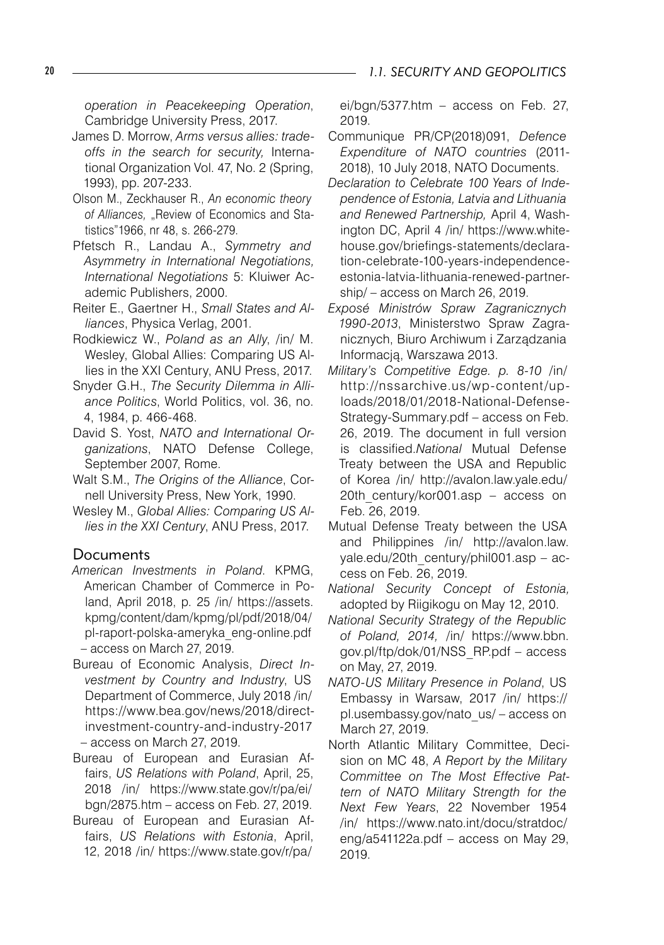*operation in Peacekeeping Operation*, Cambridge University Press, 2017.

- James D. Morrow, *Arms versus allies: tradeoffs in the search for security,* International Organization Vol. 47, No. 2 (Spring, 1993), pp. 207-233.
- Olson M., Zeckhauser R., *An economic theory*  of Alliances, "Review of Economics and Statistics"1966, nr 48, s. 266-279.
- Pfetsch R., Landau A., *Symmetry and Asymmetry in International Negotiations, International Negotiations* 5: Kluiwer Academic Publishers, 2000.
- Reiter E., Gaertner H., *Small States and Alliances*, Physica Verlag, 2001.
- Rodkiewicz W., *Poland as an Ally*, /in/ M. Wesley, Global Allies: Comparing US Allies in the XXI Century, ANU Press, 2017.
- Snyder G.H., *The Security Dilemma in Alliance Politics*, World Politics, vol. 36, no. 4, 1984, p. 466-468.
- David S. Yost, *NATO and International Organizations*, NATO Defense College, September 2007, Rome.
- Walt S.M., *The Origins of the Alliance*, Cornell University Press, New York, 1990.
- Wesley M., *Global Allies: Comparing US Allies in the XXI Century*, ANU Press, 2017.

#### Documents

- *American Investments in Poland*. KPMG, American Chamber of Commerce in Poland, April 2018, p. 25 /in/ https://assets. kpmg/content/dam/kpmg/pl/pdf/2018/04/ pl-raport-polska-ameryka\_eng-online.pdf – access on March 27, 2019.
- Bureau of Economic Analysis, *Direct Investment by Country and Industry*, US Department of Commerce, July 2018 /in/ https://www.bea.gov/news/2018/directinvestment-country-and-industry-2017 – access on March 27, 2019.
- Bureau of European and Eurasian Affairs, *US Relations with Poland*, April, 25, 2018 /in/ https://www.state.gov/r/pa/ei/ bgn/2875.htm – access on Feb. 27, 2019.
- Bureau of European and Eurasian Affairs, *US Relations with Estonia*, April, 12, 2018 /in/ https://www.state.gov/r/pa/

ei/bgn/5377.htm – access on Feb. 27, 2019.

- Communique PR/CP(2018)091, *Defence Expenditure of NATO countries* (2011- 2018), 10 July 2018, NATO Documents.
- *Declaration to Celebrate 100 Years of Independence of Estonia, Latvia and Lithuania and Renewed Partnership,* April 4, Washington DC, April 4 /in/ https://www.whitehouse.gov/briefings-statements/declaration-celebrate-100-years-independenceestonia-latvia-lithuania-renewed-partnership/ – access on March 26, 2019.
- *Exposé Ministrów Spraw Zagranicznych 1990-2013*, Ministerstwo Spraw Zagranicznych, Biuro Archiwum i Zarządzania Informacją, Warszawa 2013.
- *Military's Competitive Edge. p. 8-10 /*in/ http://nssarchive.us/wp-content/uploads/2018/01/2018-National-Defense-Strategy-Summary.pdf – access on Feb. 26, 2019. The document in full version is classified.*National* Mutual Defense Treaty between the USA and Republic of Korea /in/ http://avalon.law.yale.edu/ 20th century/kor001.asp – access on Feb. 26, 2019.
- Mutual Defense Treaty between the USA and Philippines /in/ http://avalon.law. yale.edu/20th\_century/phil001.asp – access on Feb. 26, 2019.
- *National Security Concept of Estonia,*  adopted by Riigikogu on May 12, 2010.
- *National Security Strategy of the Republic of Poland, 2014,* /in/ https://www.bbn. gov.pl/ftp/dok/01/NSS\_RP.pdf – access on May, 27, 2019.
- *NATO-US Military Presence in Poland*, US Embassy in Warsaw, 2017 /in/ https:// pl.usembassy.gov/nato\_us/ – access on March 27, 2019.
- North Atlantic Military Committee, Decision on MC 48, *A Report by the Military Committee on The Most Effective Pattern of NATO Military Strength for the Next Few Years*, 22 November 1954 /in/ https://www.nato.int/docu/stratdoc/ eng/a541122a.pdf – access on May 29, 2019.